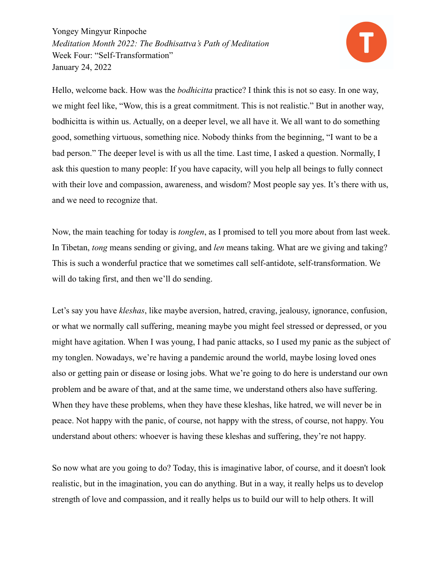

Hello, welcome back. How was the *bodhicitta* practice? I think this is not so easy. In one way, we might feel like, "Wow, this is a great commitment. This is not realistic." But in another way, bodhicitta is within us. Actually, on a deeper level, we all have it. We all want to do something good, something virtuous, something nice. Nobody thinks from the beginning, "I want to be a bad person." The deeper level is with us all the time. Last time, I asked a question. Normally, I ask this question to many people: If you have capacity, will you help all beings to fully connect with their love and compassion, awareness, and wisdom? Most people say yes. It's there with us, and we need to recognize that.

Now, the main teaching for today is *tonglen*, as I promised to tell you more about from last week. In Tibetan, *tong* means sending or giving, and *len* means taking. What are we giving and taking? This is such a wonderful practice that we sometimes call self-antidote, self-transformation. We will do taking first, and then we'll do sending.

Let's say you have *kleshas*, like maybe aversion, hatred, craving, jealousy, ignorance, confusion, or what we normally call suffering, meaning maybe you might feel stressed or depressed, or you might have agitation. When I was young, I had panic attacks, so I used my panic as the subject of my tonglen. Nowadays, we're having a pandemic around the world, maybe losing loved ones also or getting pain or disease or losing jobs. What we're going to do here is understand our own problem and be aware of that, and at the same time, we understand others also have suffering. When they have these problems, when they have these kleshas, like hatred, we will never be in peace. Not happy with the panic, of course, not happy with the stress, of course, not happy. You understand about others: whoever is having these kleshas and suffering, they're not happy.

So now what are you going to do? Today, this is imaginative labor, of course, and it doesn't look realistic, but in the imagination, you can do anything. But in a way, it really helps us to develop strength of love and compassion, and it really helps us to build our will to help others. It will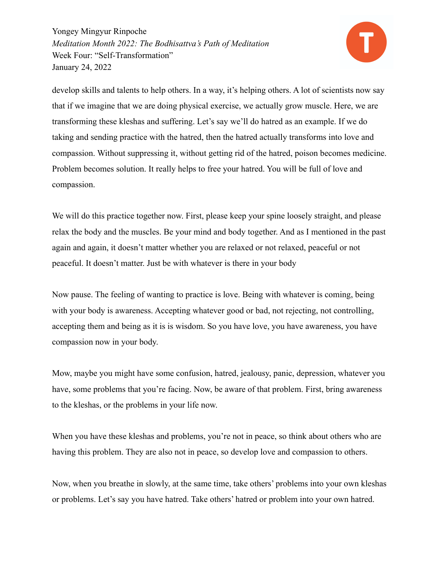

develop skills and talents to help others. In a way, it's helping others. A lot of scientists now say that if we imagine that we are doing physical exercise, we actually grow muscle. Here, we are transforming these kleshas and suffering. Let's say we'll do hatred as an example. If we do taking and sending practice with the hatred, then the hatred actually transforms into love and compassion. Without suppressing it, without getting rid of the hatred, poison becomes medicine. Problem becomes solution. It really helps to free your hatred. You will be full of love and compassion.

We will do this practice together now. First, please keep your spine loosely straight, and please relax the body and the muscles. Be your mind and body together. And as I mentioned in the past again and again, it doesn't matter whether you are relaxed or not relaxed, peaceful or not peaceful. It doesn't matter. Just be with whatever is there in your body

Now pause. The feeling of wanting to practice is love. Being with whatever is coming, being with your body is awareness. Accepting whatever good or bad, not rejecting, not controlling, accepting them and being as it is is wisdom. So you have love, you have awareness, you have compassion now in your body.

Mow, maybe you might have some confusion, hatred, jealousy, panic, depression, whatever you have, some problems that you're facing. Now, be aware of that problem. First, bring awareness to the kleshas, or the problems in your life now.

When you have these kleshas and problems, you're not in peace, so think about others who are having this problem. They are also not in peace, so develop love and compassion to others.

Now, when you breathe in slowly, at the same time, take others' problems into your own kleshas or problems. Let's say you have hatred. Take others' hatred or problem into your own hatred.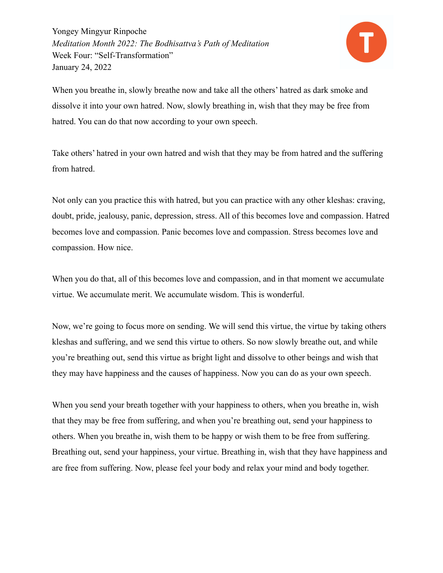

When you breathe in, slowly breathe now and take all the others' hatred as dark smoke and dissolve it into your own hatred. Now, slowly breathing in, wish that they may be free from hatred. You can do that now according to your own speech.

Take others' hatred in your own hatred and wish that they may be from hatred and the suffering from hatred.

Not only can you practice this with hatred, but you can practice with any other kleshas: craving, doubt, pride, jealousy, panic, depression, stress. All of this becomes love and compassion. Hatred becomes love and compassion. Panic becomes love and compassion. Stress becomes love and compassion. How nice.

When you do that, all of this becomes love and compassion, and in that moment we accumulate virtue. We accumulate merit. We accumulate wisdom. This is wonderful.

Now, we're going to focus more on sending. We will send this virtue, the virtue by taking others kleshas and suffering, and we send this virtue to others. So now slowly breathe out, and while you're breathing out, send this virtue as bright light and dissolve to other beings and wish that they may have happiness and the causes of happiness. Now you can do as your own speech.

When you send your breath together with your happiness to others, when you breathe in, wish that they may be free from suffering, and when you're breathing out, send your happiness to others. When you breathe in, wish them to be happy or wish them to be free from suffering. Breathing out, send your happiness, your virtue. Breathing in, wish that they have happiness and are free from suffering. Now, please feel your body and relax your mind and body together.